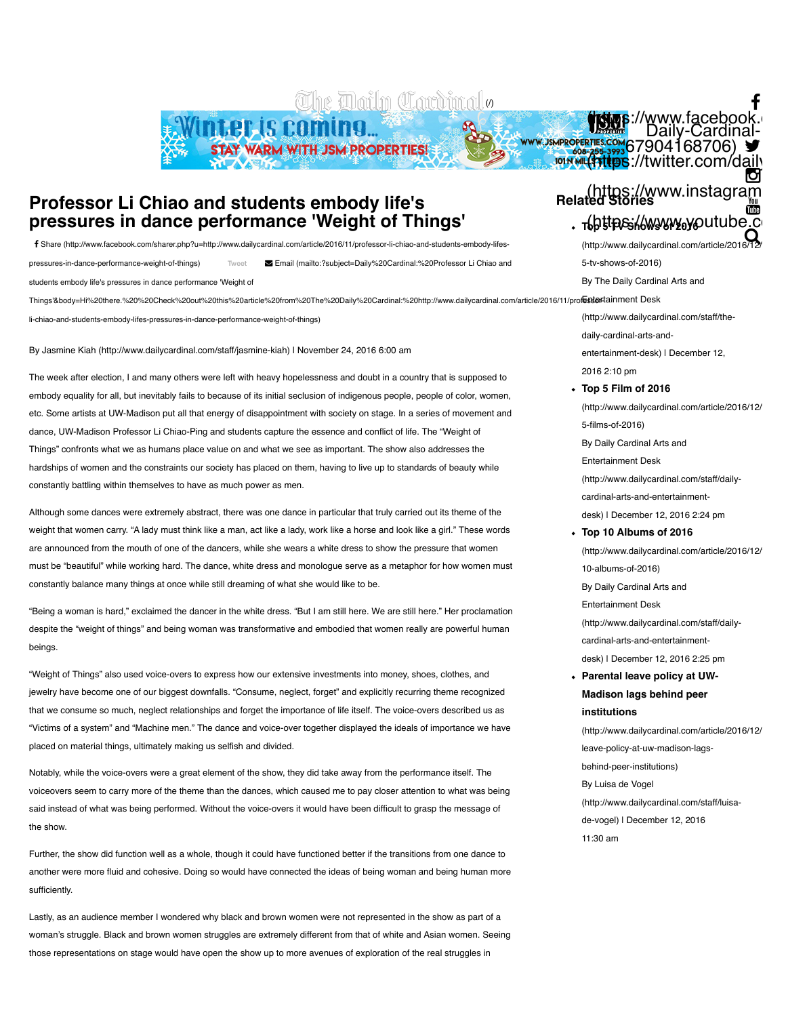The Daily Cardinal.

Winter is coming... STAY WARM WITH JSM PROPERTIES!

# **Professor Li Chiao and students embody life's pressures in dance performance 'Weight of Things'**

[Share \(http://www.facebook.com/sharer.php?u=http://www.dailycardinal.com/article/2016/11/professor-li-chiao-and-students-embody-lifes-](http://www.facebook.com/sharer.php?u=http://www.dailycardinal.com/article/2016/11/professor-li-chiao-and-students-embody-lifes-pressures-in-dance-performance-weight-of-things)!

[Tweet](https://twitter.com/intent/tweet?original_referer=http%3A%2F%2Fwww.dailycardinal.com%2Farticle%2F2016%2F11%2Fprofessor-li-chiao-and-students-embody-lifes-pressures-in-dance-performance-weight-of-things&ref_src=twsrc%5Etfw&text=Professor%20Li%20Chiao%20and%20students%20embody%20life%27s%20pressures%20in%20dance%20performance%20%27Weight%20of%20Things%27%20%7C%20The%20Daily%20Cardinal&tw_p=tweetbutton&url=http%3A%2F%2Fwww.dailycardinal.com%2Farticle%2F2016%2F11%2Fprofessor-li-chiao-and-students-embody-lifes-pressures-in-dance-performance-weight-of-things&via=dailycardinal) pressures-in-dance-performance-weight-of-things) Email (mailto:?subject=Daily%20Cardinal:%20Professor Li Chiao and " students embody life's pressures in dance performance 'Weight of

Things'&body=Hi%20there.%20%20Check%20out%20this%20article%20from%20The%20Daily%20Cardinal:%20http://www.dailycardinal.com/article/2016/11/pro**festio**rtainment Desk

li-chiao-and-students-embody-lifes-pressures-in-dance-performance-weight-of-things)

By [Jasmine Kiah \(http://www.dailycardinal.com/staff/jasmine-kiah\)](http://www.dailycardinal.com/staff/jasmine-kiah) | November 24, 2016 6:00 am

The week after election, I and many others were left with heavy hopelessness and doubt in a country that is supposed to embody equality for all, but inevitably fails to because of its initial seclusion of indigenous people, people of color, women, etc. Some artists at UW-Madison put all that energy of disappointment with society on stage. In a series of movement and dance, UW-Madison Professor Li Chiao-Ping and students capture the essence and conflict of life. The "Weight of Things" confronts what we as humans place value on and what we see as important. The show also addresses the hardships of women and the constraints our society has placed on them, having to live up to standards of beauty while constantly battling within themselves to have as much power as men.

Although some dances were extremely abstract, there was one dance in particular that truly carried out its theme of the weight that women carry. "A lady must think like a man, act like a lady, work like a horse and look like a girl." These words are announced from the mouth of one of the dancers, while she wears a white dress to show the pressure that women must be "beautiful" while working hard. The dance, white dress and monologue serve as a metaphor for how women must constantly balance many things at once while still dreaming of what she would like to be.

"Being a woman is hard," exclaimed the dancer in the white dress. "But I am still here. We are still here." Her proclamation despite the "weight of things" and being woman was transformative and embodied that women really are powerful human beings.

"Weight of Things" also used voice-overs to express how our extensive investments into money, shoes, clothes, and jewelry have become one of our biggest downfalls. "Consume, neglect, forget" and explicitly recurring theme recognized that we consume so much, neglect relationships and forget the importance of life itself. The voice-overs described us as "Victims of a system" and "Machine men." The dance and voice-over together displayed the ideals of importance we have placed on material things, ultimately making us selfish and divided.

Notably, while the voice-overs were a great element of the show, they did take away from the performance itself. The voiceovers seem to carry more of the theme than the dances, which caused me to pay closer attention to what was being said instead of what was being performed. Without the voice-overs it would have been difficult to grasp the message of the show.

Further, the show did function well as a whole, though it could have functioned better if the transitions from one dance to another were more fluid and cohesive. Doing so would have connected the ideas of being woman and being human more sufficiently.

Lastly, as an audience member I wondered why black and brown women were not represented in the show as part of a woman's struggle. Black and brown women struggles are extremely different from that of white and Asian women. Seeing those representations on stage would have open the show up to more avenues of exploration of the real struggles in

## https://www.instagram)<br>Related Stories <sub>T</sub>{bttps://www.youtube.com %

W.JSMPROPERTIES.COM 67904168706)

(**https:/**/www.facebook.com/<br>Daily-Cardinal- Daily-Cardinal-<br>Alter.com/da<u>ilycardinal)</u>

f

M

(http://www.dailycardinal.com/article/2016 5-tv-shows-of-2016) By The Daily Cardinal Arts and  $\boldsymbol{\mathsf{Q}}$ 

[\(http://www.dailycardinal.com/staff/the](http://www.dailycardinal.com/staff/the-daily-cardinal-arts-and-entertainment-desk)daily-cardinal-arts-andentertainment-desk) | December 12, 2016 2:10 pm **Top 5 Film of 2016** (http://www.dailycardinal.com/article/2016/12/

5-films-of-2016) By Daily Cardinal Arts and Entertainment Desk [\(http://www.dailycardinal.com/staff/daily](http://www.dailycardinal.com/staff/daily-cardinal-arts-and-entertainment-desk)cardinal-arts-and-entertainmentdesk) | December 12, 2016 2:24 pm

**Top 10 Albums of 2016** (http://www.dailycardinal.com/article/2016/12/ 10-albums-of-2016) By Daily Cardinal Arts and Entertainment Desk [\(http://www.dailycardinal.com/staff/daily](http://www.dailycardinal.com/staff/daily-cardinal-arts-and-entertainment-desk)cardinal-arts-and-entertainmentdesk) | December 12, 2016 2:25 pm **Parental leave policy at UW-Madison lags behind peer institutions**

(http://www.dailycardinal.com/article/2016/12/ leave-policy-at-uw-madison-lagsbehind-peer-institutions) By Luisa de Vogel [\(http://www.dailycardinal.com/staff/luisa](http://www.dailycardinal.com/staff/luisa-de-vogel)de-vogel) | December 12, 2016 11:30 am